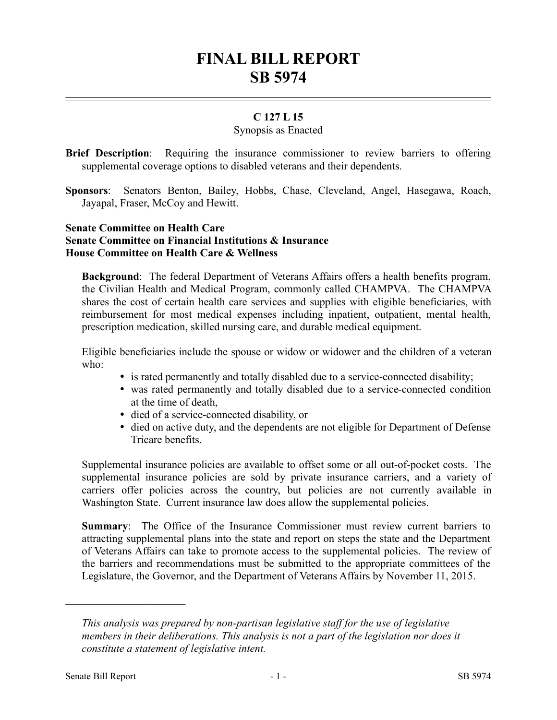# **FINAL BILL REPORT SB 5974**

### **C 127 L 15**

#### Synopsis as Enacted

- **Brief Description**: Requiring the insurance commissioner to review barriers to offering supplemental coverage options to disabled veterans and their dependents.
- **Sponsors**: Senators Benton, Bailey, Hobbs, Chase, Cleveland, Angel, Hasegawa, Roach, Jayapal, Fraser, McCoy and Hewitt.

#### **Senate Committee on Health Care Senate Committee on Financial Institutions & Insurance House Committee on Health Care & Wellness**

**Background**: The federal Department of Veterans Affairs offers a health benefits program, the Civilian Health and Medical Program, commonly called CHAMPVA. The CHAMPVA shares the cost of certain health care services and supplies with eligible beneficiaries, with reimbursement for most medical expenses including inpatient, outpatient, mental health, prescription medication, skilled nursing care, and durable medical equipment.

Eligible beneficiaries include the spouse or widow or widower and the children of a veteran who:

- is rated permanently and totally disabled due to a service-connected disability;
- was rated permanently and totally disabled due to a service-connected condition at the time of death,
- died of a service-connected disability, or
- died on active duty, and the dependents are not eligible for Department of Defense Tricare benefits.

Supplemental insurance policies are available to offset some or all out-of-pocket costs. The supplemental insurance policies are sold by private insurance carriers, and a variety of carriers offer policies across the country, but policies are not currently available in Washington State. Current insurance law does allow the supplemental policies.

**Summary**: The Office of the Insurance Commissioner must review current barriers to attracting supplemental plans into the state and report on steps the state and the Department of Veterans Affairs can take to promote access to the supplemental policies. The review of the barriers and recommendations must be submitted to the appropriate committees of the Legislature, the Governor, and the Department of Veterans Affairs by November 11, 2015.

––––––––––––––––––––––

*This analysis was prepared by non-partisan legislative staff for the use of legislative members in their deliberations. This analysis is not a part of the legislation nor does it constitute a statement of legislative intent.*